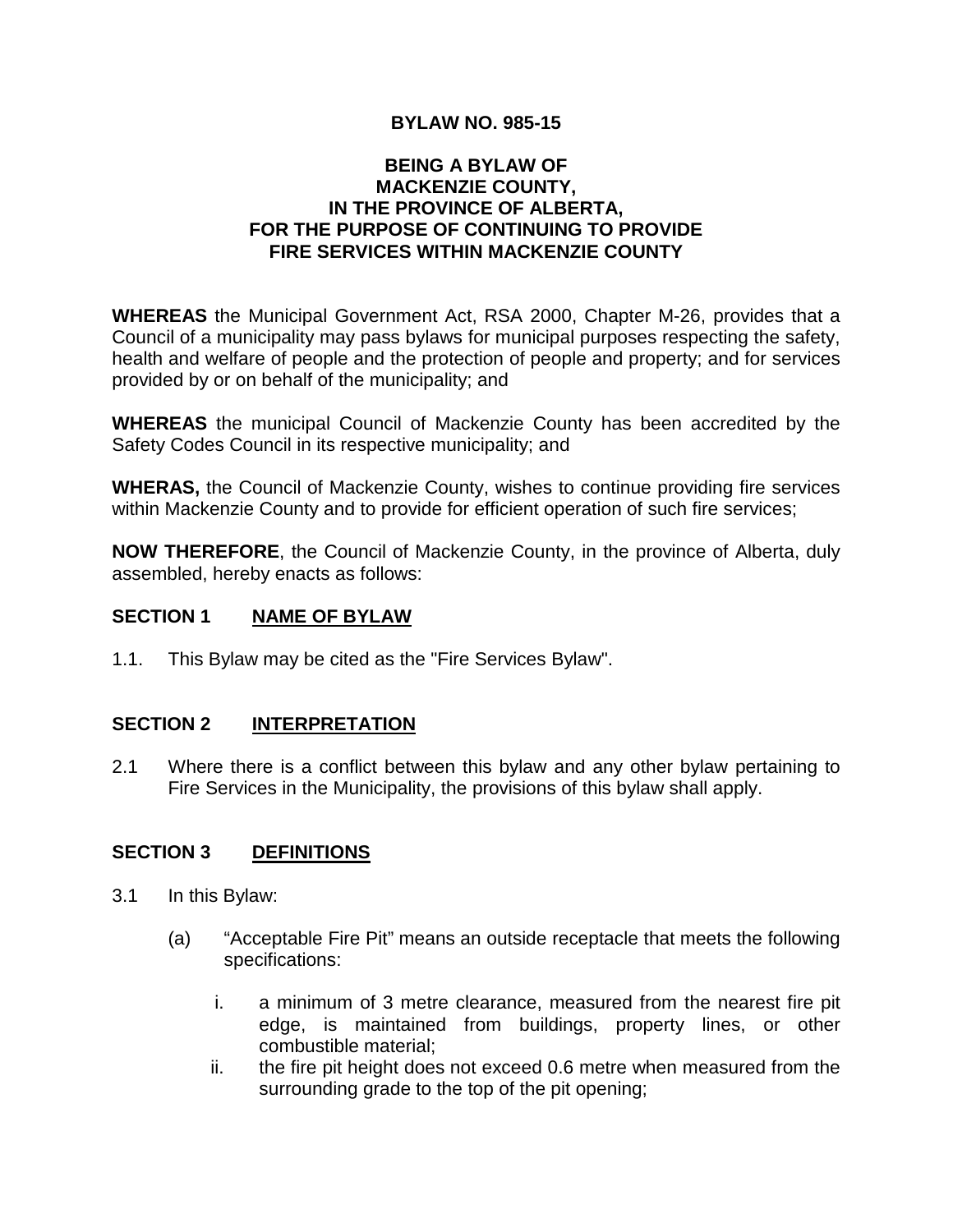# **BYLAW NO. 985-15**

#### **BEING A BYLAW OF MACKENZIE COUNTY, IN THE PROVINCE OF ALBERTA, FOR THE PURPOSE OF CONTINUING TO PROVIDE FIRE SERVICES WITHIN MACKENZIE COUNTY**

**WHEREAS** the Municipal Government Act, RSA 2000, Chapter M-26, provides that a Council of a municipality may pass bylaws for municipal purposes respecting the safety, health and welfare of people and the protection of people and property; and for services provided by or on behalf of the municipality; and

**WHEREAS** the municipal Council of Mackenzie County has been accredited by the Safety Codes Council in its respective municipality; and

**WHERAS,** the Council of Mackenzie County, wishes to continue providing fire services within Mackenzie County and to provide for efficient operation of such fire services;

**NOW THEREFORE**, the Council of Mackenzie County, in the province of Alberta, duly assembled, hereby enacts as follows:

## **SECTION 1 NAME OF BYLAW**

1.1. This Bylaw may be cited as the "Fire Services Bylaw".

## **SECTION 2 INTERPRETATION**

2.1 Where there is a conflict between this bylaw and any other bylaw pertaining to Fire Services in the Municipality, the provisions of this bylaw shall apply.

# **SECTION 3 DEFINITIONS**

- 3.1 In this Bylaw:
	- (a) "Acceptable Fire Pit" means an outside receptacle that meets the following specifications:
		- i. a minimum of 3 metre clearance, measured from the nearest fire pit edge, is maintained from buildings, property lines, or other combustible material;
		- ii. the fire pit height does not exceed 0.6 metre when measured from the surrounding grade to the top of the pit opening;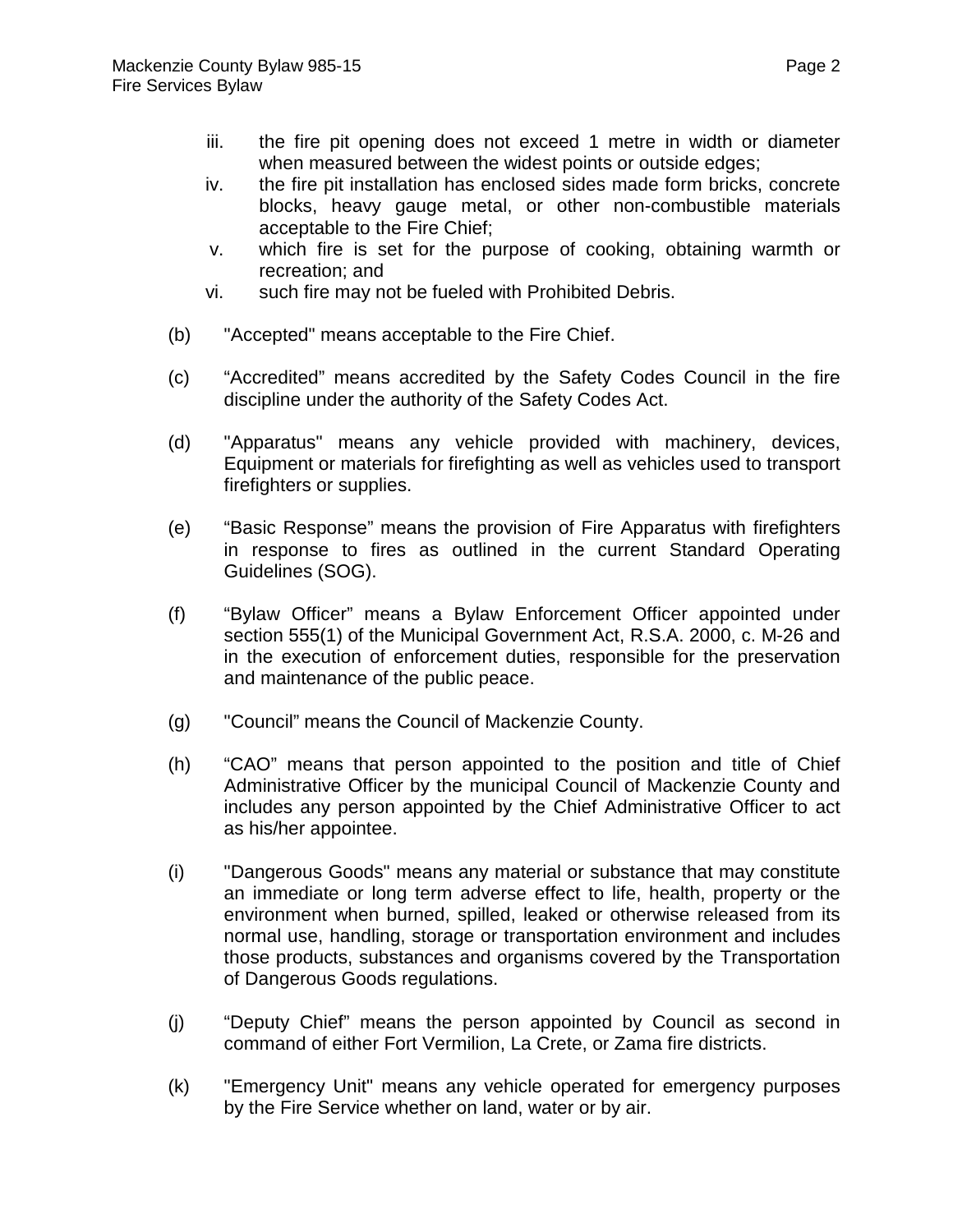- iii. the fire pit opening does not exceed 1 metre in width or diameter when measured between the widest points or outside edges;
- iv. the fire pit installation has enclosed sides made form bricks, concrete blocks, heavy gauge metal, or other non-combustible materials acceptable to the Fire Chief;
- v. which fire is set for the purpose of cooking, obtaining warmth or recreation; and
- vi. such fire may not be fueled with Prohibited Debris.
- (b) "Accepted" means acceptable to the Fire Chief.
- (c) "Accredited" means accredited by the Safety Codes Council in the fire discipline under the authority of the Safety Codes Act.
- (d) "Apparatus" means any vehicle provided with machinery, devices, Equipment or materials for firefighting as well as vehicles used to transport firefighters or supplies.
- (e) "Basic Response" means the provision of Fire Apparatus with firefighters in response to fires as outlined in the current Standard Operating Guidelines (SOG).
- (f) "Bylaw Officer" means a Bylaw Enforcement Officer appointed under section 555(1) of the Municipal Government Act, R.S.A. 2000, c. M-26 and in the execution of enforcement duties, responsible for the preservation and maintenance of the public peace.
- (g) "Council" means the Council of Mackenzie County.
- (h) "CAO" means that person appointed to the position and title of Chief Administrative Officer by the municipal Council of Mackenzie County and includes any person appointed by the Chief Administrative Officer to act as his/her appointee.
- (i) "Dangerous Goods" means any material or substance that may constitute an immediate or long term adverse effect to life, health, property or the environment when burned, spilled, leaked or otherwise released from its normal use, handling, storage or transportation environment and includes those products, substances and organisms covered by the Transportation of Dangerous Goods regulations.
- (j) "Deputy Chief" means the person appointed by Council as second in command of either Fort Vermilion, La Crete, or Zama fire districts.
- (k) "Emergency Unit" means any vehicle operated for emergency purposes by the Fire Service whether on land, water or by air.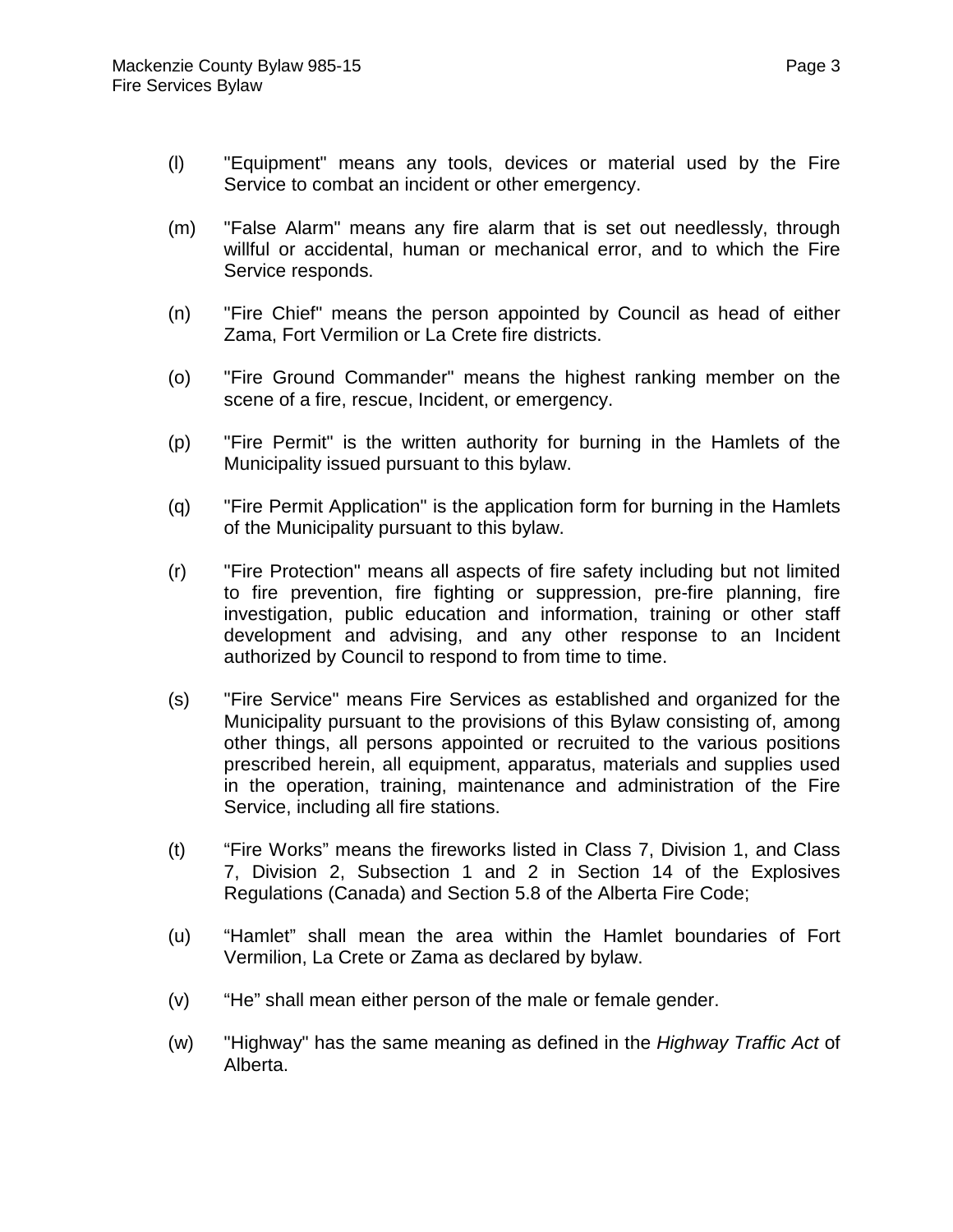- (l) "Equipment" means any tools, devices or material used by the Fire Service to combat an incident or other emergency.
- (m) "False Alarm" means any fire alarm that is set out needlessly, through willful or accidental, human or mechanical error, and to which the Fire Service responds.
- (n) "Fire Chief" means the person appointed by Council as head of either Zama, Fort Vermilion or La Crete fire districts.
- (o) "Fire Ground Commander" means the highest ranking member on the scene of a fire, rescue, Incident, or emergency.
- (p) "Fire Permit" is the written authority for burning in the Hamlets of the Municipality issued pursuant to this bylaw.
- (q) "Fire Permit Application" is the application form for burning in the Hamlets of the Municipality pursuant to this bylaw.
- (r) "Fire Protection" means all aspects of fire safety including but not limited to fire prevention, fire fighting or suppression, pre-fire planning, fire investigation, public education and information, training or other staff development and advising, and any other response to an Incident authorized by Council to respond to from time to time.
- (s) "Fire Service" means Fire Services as established and organized for the Municipality pursuant to the provisions of this Bylaw consisting of, among other things, all persons appointed or recruited to the various positions prescribed herein, all equipment, apparatus, materials and supplies used in the operation, training, maintenance and administration of the Fire Service, including all fire stations.
- (t) "Fire Works" means the fireworks listed in Class 7, Division 1, and Class 7, Division 2, Subsection 1 and 2 in Section 14 of the Explosives Regulations (Canada) and Section 5.8 of the Alberta Fire Code;
- (u) "Hamlet" shall mean the area within the Hamlet boundaries of Fort Vermilion, La Crete or Zama as declared by bylaw.
- (v) "He" shall mean either person of the male or female gender.
- (w) "Highway" has the same meaning as defined in the *Highway Traffic Act* of Alberta.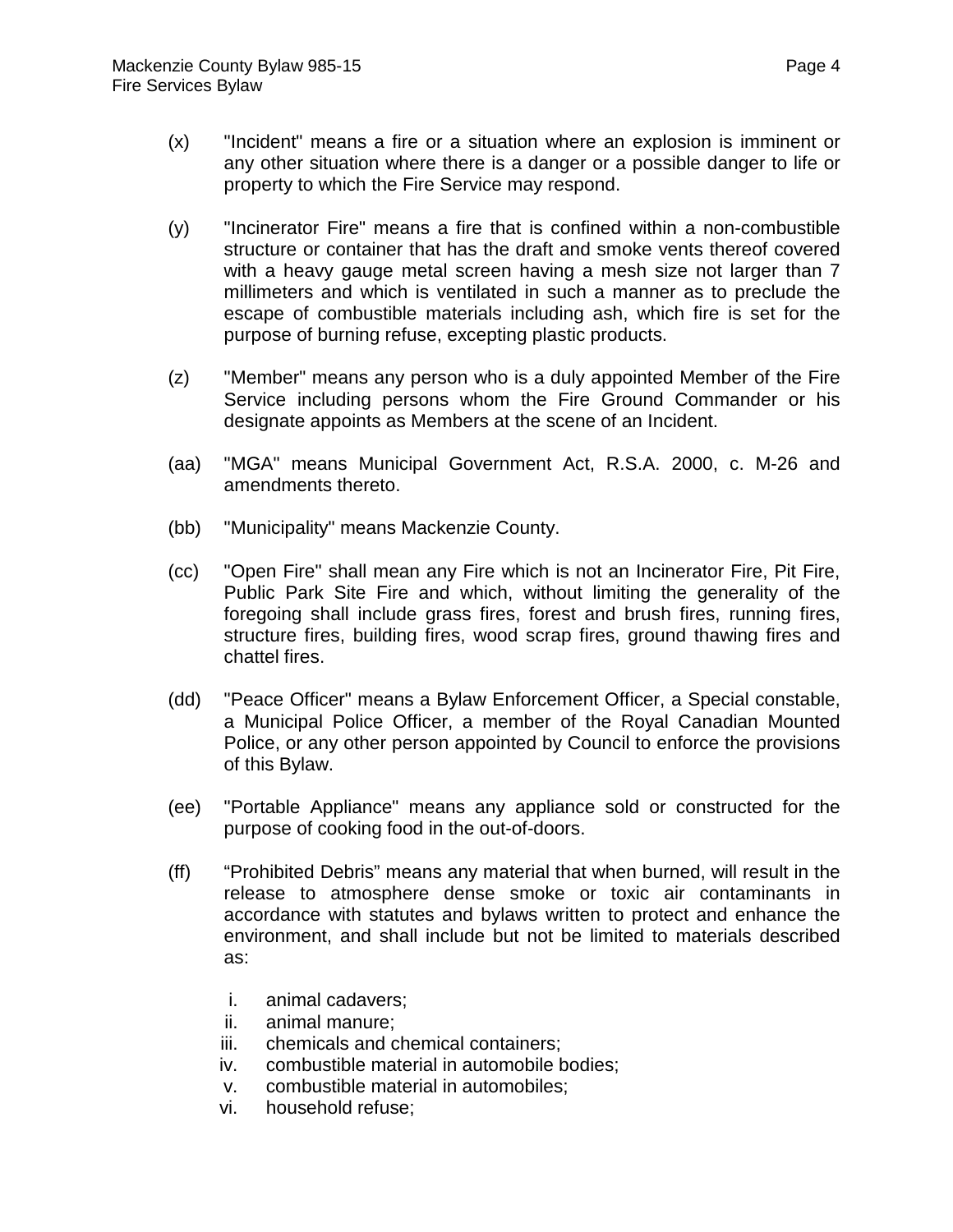- (x) "Incident" means a fire or a situation where an explosion is imminent or any other situation where there is a danger or a possible danger to life or property to which the Fire Service may respond.
- (y) "Incinerator Fire" means a fire that is confined within a non-combustible structure or container that has the draft and smoke vents thereof covered with a heavy gauge metal screen having a mesh size not larger than 7 millimeters and which is ventilated in such a manner as to preclude the escape of combustible materials including ash, which fire is set for the purpose of burning refuse, excepting plastic products.
- (z) "Member" means any person who is a duly appointed Member of the Fire Service including persons whom the Fire Ground Commander or his designate appoints as Members at the scene of an Incident.
- (aa) "MGA" means Municipal Government Act, R.S.A. 2000, c. M-26 and amendments thereto.
- (bb) "Municipality" means Mackenzie County.
- (cc) "Open Fire" shall mean any Fire which is not an Incinerator Fire, Pit Fire, Public Park Site Fire and which, without limiting the generality of the foregoing shall include grass fires, forest and brush fires, running fires, structure fires, building fires, wood scrap fires, ground thawing fires and chattel fires.
- (dd) "Peace Officer" means a Bylaw Enforcement Officer, a Special constable, a Municipal Police Officer, a member of the Royal Canadian Mounted Police, or any other person appointed by Council to enforce the provisions of this Bylaw.
- (ee) "Portable Appliance" means any appliance sold or constructed for the purpose of cooking food in the out-of-doors.
- (ff) "Prohibited Debris" means any material that when burned, will result in the release to atmosphere dense smoke or toxic air contaminants in accordance with statutes and bylaws written to protect and enhance the environment, and shall include but not be limited to materials described as:
	- i. animal cadavers;
	- ii. animal manure;
	- iii. chemicals and chemical containers;
	- iv. combustible material in automobile bodies;
	- v. combustible material in automobiles;
	- vi. household refuse;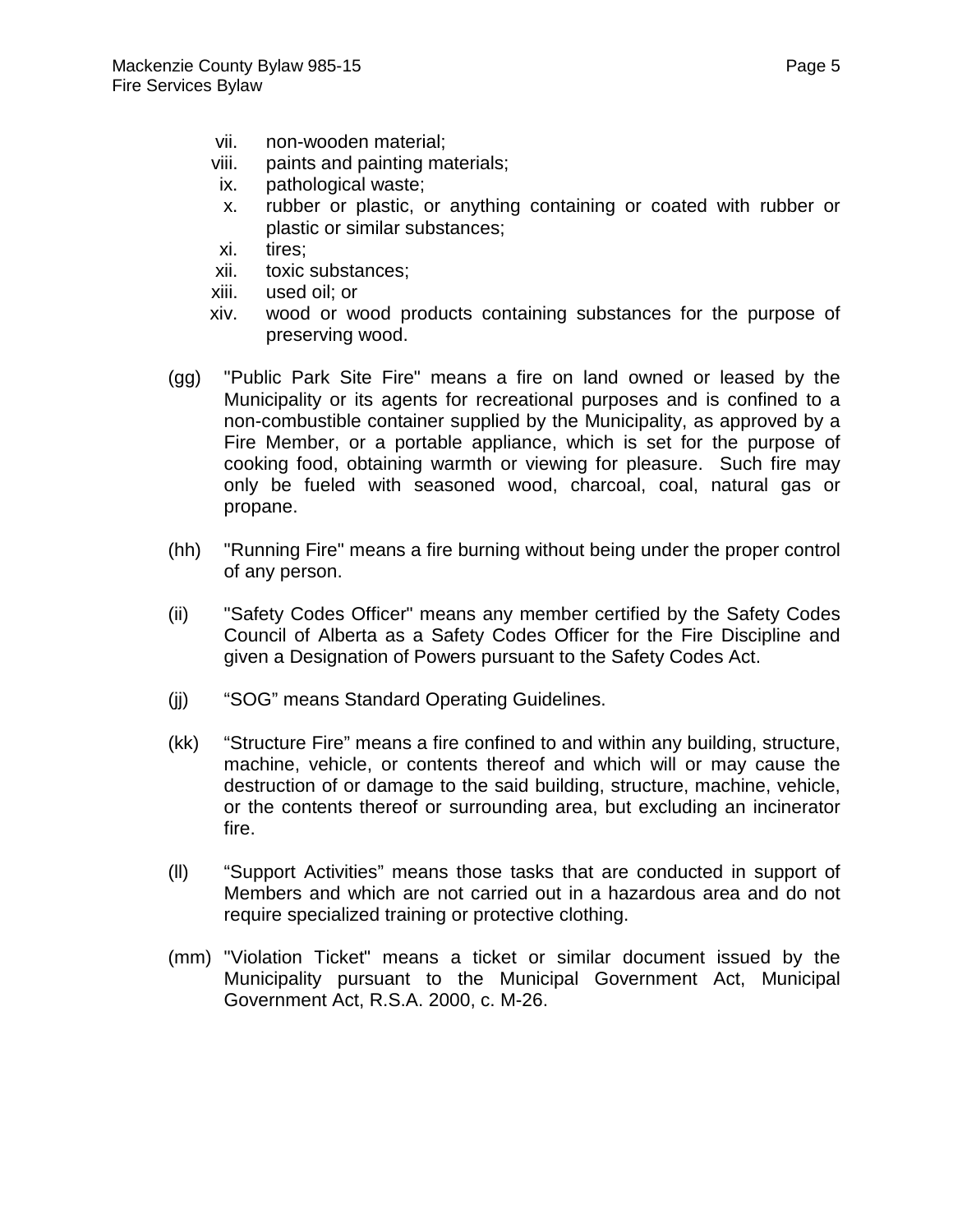- vii. non-wooden material;
- viii. paints and painting materials;
- ix. pathological waste;
- x. rubber or plastic, or anything containing or coated with rubber or plastic or similar substances;
- xi. tires;
- xii. toxic substances;
- xiii. used oil; or
- xiv. wood or wood products containing substances for the purpose of preserving wood.
- (gg) "Public Park Site Fire" means a fire on land owned or leased by the Municipality or its agents for recreational purposes and is confined to a non-combustible container supplied by the Municipality, as approved by a Fire Member, or a portable appliance, which is set for the purpose of cooking food, obtaining warmth or viewing for pleasure. Such fire may only be fueled with seasoned wood, charcoal, coal, natural gas or propane.
- (hh) "Running Fire" means a fire burning without being under the proper control of any person.
- (ii) "Safety Codes Officer" means any member certified by the Safety Codes Council of Alberta as a Safety Codes Officer for the Fire Discipline and given a Designation of Powers pursuant to the Safety Codes Act.
- (jj) "SOG" means Standard Operating Guidelines.
- (kk) "Structure Fire" means a fire confined to and within any building, structure, machine, vehicle, or contents thereof and which will or may cause the destruction of or damage to the said building, structure, machine, vehicle, or the contents thereof or surrounding area, but excluding an incinerator fire.
- (ll) "Support Activities" means those tasks that are conducted in support of Members and which are not carried out in a hazardous area and do not require specialized training or protective clothing.
- (mm) "Violation Ticket" means a ticket or similar document issued by the Municipality pursuant to the Municipal Government Act, Municipal Government Act, R.S.A. 2000, c. M-26.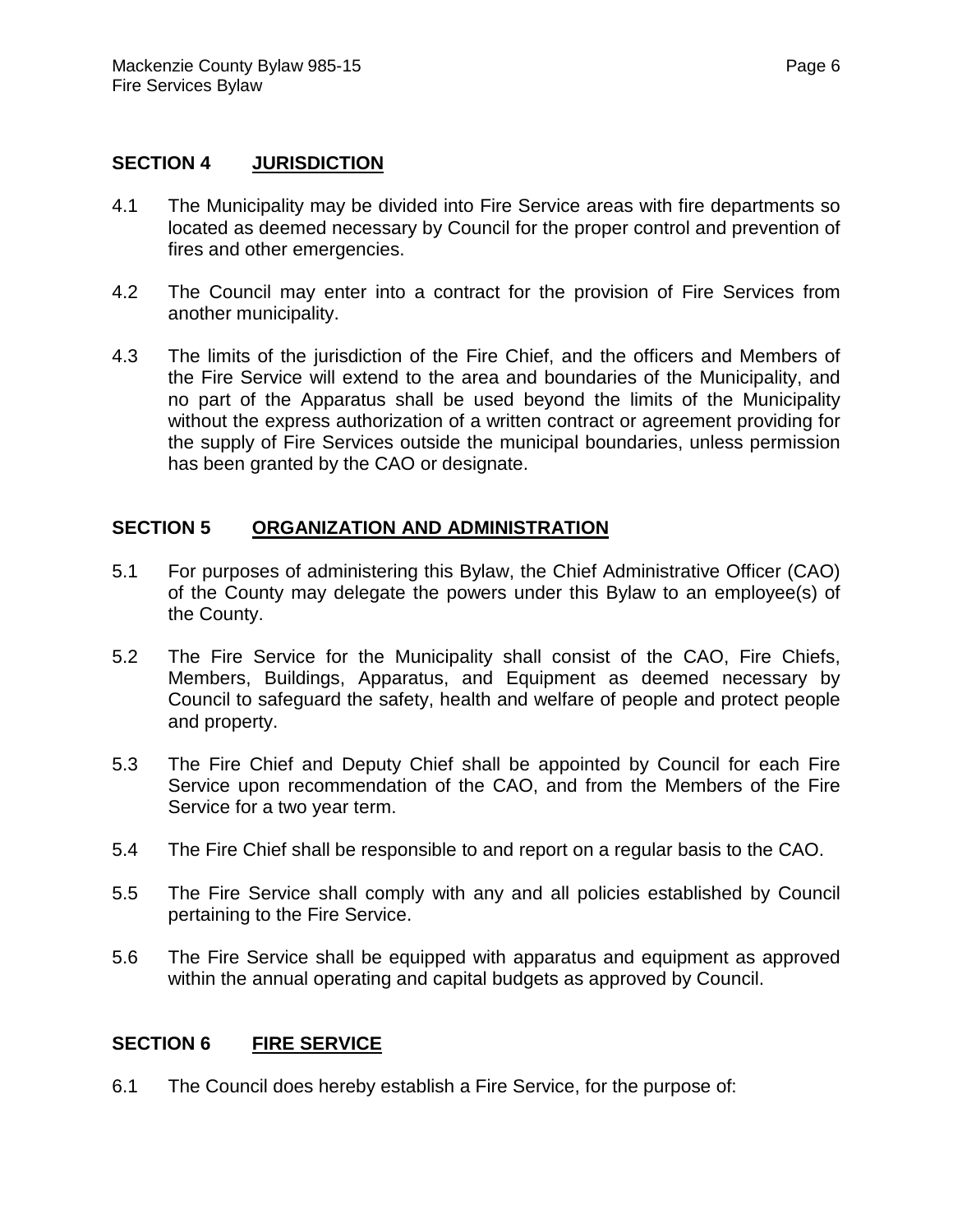#### **SECTION 4 JURISDICTION**

- 4.1 The Municipality may be divided into Fire Service areas with fire departments so located as deemed necessary by Council for the proper control and prevention of fires and other emergencies.
- 4.2 The Council may enter into a contract for the provision of Fire Services from another municipality.
- 4.3 The limits of the jurisdiction of the Fire Chief, and the officers and Members of the Fire Service will extend to the area and boundaries of the Municipality, and no part of the Apparatus shall be used beyond the limits of the Municipality without the express authorization of a written contract or agreement providing for the supply of Fire Services outside the municipal boundaries, unless permission has been granted by the CAO or designate.

#### **SECTION 5 ORGANIZATION AND ADMINISTRATION**

- 5.1 For purposes of administering this Bylaw, the Chief Administrative Officer (CAO) of the County may delegate the powers under this Bylaw to an employee(s) of the County.
- 5.2 The Fire Service for the Municipality shall consist of the CAO, Fire Chiefs, Members, Buildings, Apparatus, and Equipment as deemed necessary by Council to safeguard the safety, health and welfare of people and protect people and property.
- 5.3 The Fire Chief and Deputy Chief shall be appointed by Council for each Fire Service upon recommendation of the CAO, and from the Members of the Fire Service for a two year term.
- 5.4 The Fire Chief shall be responsible to and report on a regular basis to the CAO.
- 5.5 The Fire Service shall comply with any and all policies established by Council pertaining to the Fire Service.
- 5.6 The Fire Service shall be equipped with apparatus and equipment as approved within the annual operating and capital budgets as approved by Council.

#### **SECTION 6 FIRE SERVICE**

6.1 The Council does hereby establish a Fire Service, for the purpose of: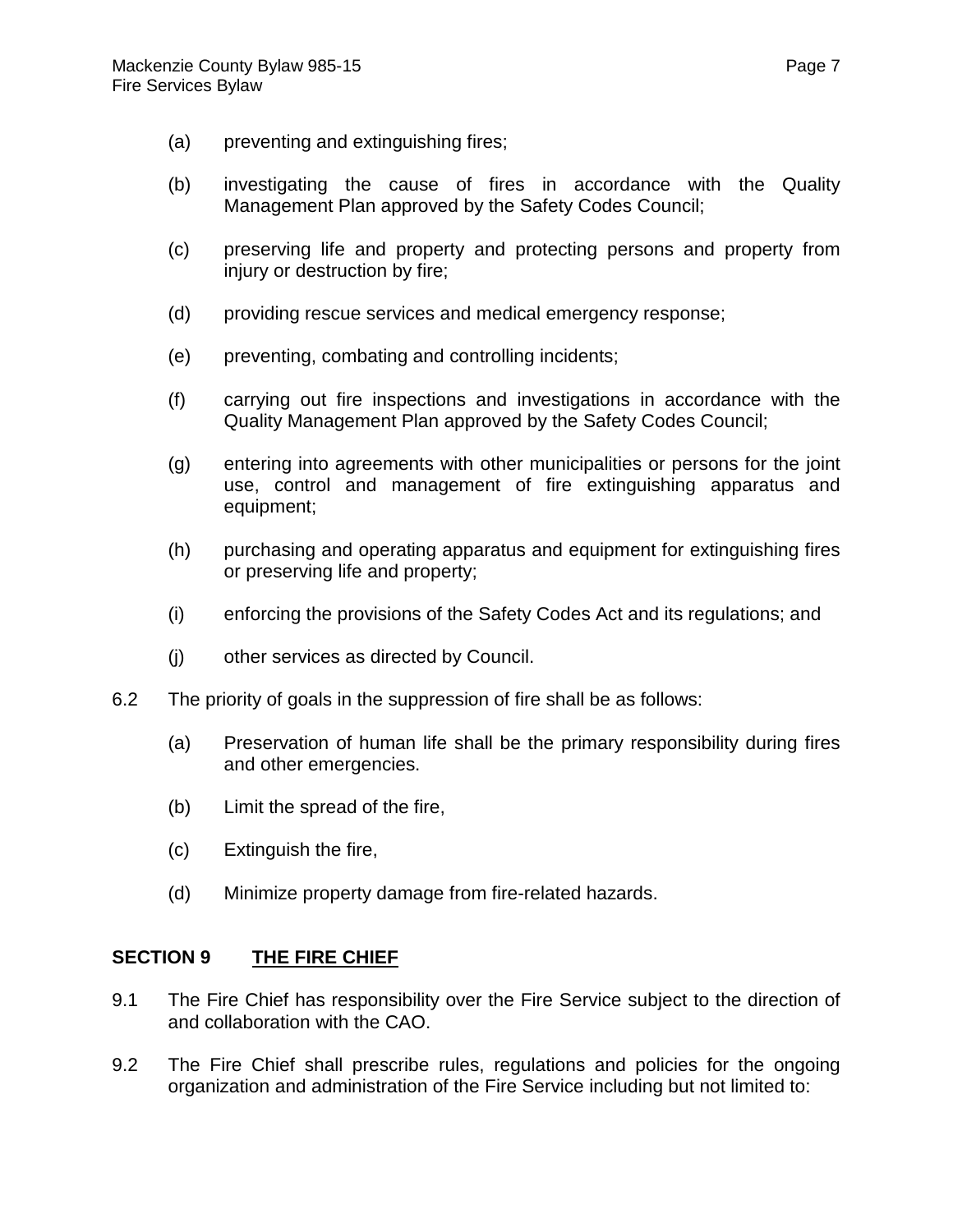- (a) preventing and extinguishing fires;
- (b) investigating the cause of fires in accordance with the Quality Management Plan approved by the Safety Codes Council;
- (c) preserving life and property and protecting persons and property from injury or destruction by fire;
- (d) providing rescue services and medical emergency response;
- (e) preventing, combating and controlling incidents;
- (f) carrying out fire inspections and investigations in accordance with the Quality Management Plan approved by the Safety Codes Council;
- (g) entering into agreements with other municipalities or persons for the joint use, control and management of fire extinguishing apparatus and equipment;
- (h) purchasing and operating apparatus and equipment for extinguishing fires or preserving life and property;
- (i) enforcing the provisions of the Safety Codes Act and its regulations; and
- (j) other services as directed by Council.
- 6.2 The priority of goals in the suppression of fire shall be as follows:
	- (a) Preservation of human life shall be the primary responsibility during fires and other emergencies.
	- (b) Limit the spread of the fire,
	- (c) Extinguish the fire,
	- (d) Minimize property damage from fire-related hazards.

## **SECTION 9 THE FIRE CHIEF**

- 9.1 The Fire Chief has responsibility over the Fire Service subject to the direction of and collaboration with the CAO.
- 9.2 The Fire Chief shall prescribe rules, regulations and policies for the ongoing organization and administration of the Fire Service including but not limited to: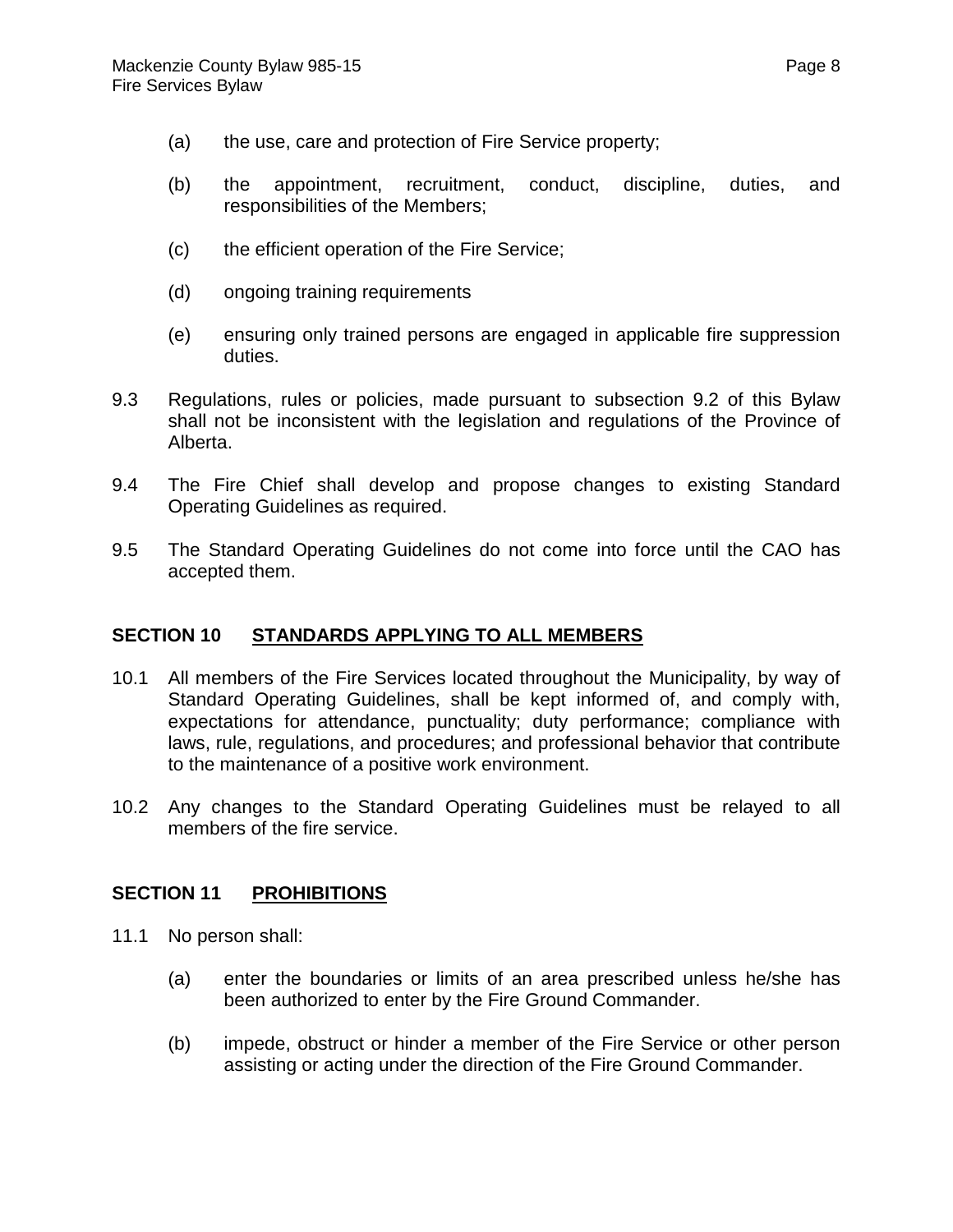- (a) the use, care and protection of Fire Service property;
- (b) the appointment, recruitment, conduct, discipline, duties, and responsibilities of the Members;
- (c) the efficient operation of the Fire Service;
- (d) ongoing training requirements
- (e) ensuring only trained persons are engaged in applicable fire suppression duties.
- 9.3 Regulations, rules or policies, made pursuant to subsection 9.2 of this Bylaw shall not be inconsistent with the legislation and regulations of the Province of Alberta.
- 9.4 The Fire Chief shall develop and propose changes to existing Standard Operating Guidelines as required.
- 9.5 The Standard Operating Guidelines do not come into force until the CAO has accepted them.

## **SECTION 10 STANDARDS APPLYING TO ALL MEMBERS**

- 10.1 All members of the Fire Services located throughout the Municipality, by way of Standard Operating Guidelines, shall be kept informed of, and comply with, expectations for attendance, punctuality; duty performance; compliance with laws, rule, regulations, and procedures; and professional behavior that contribute to the maintenance of a positive work environment.
- 10.2 Any changes to the Standard Operating Guidelines must be relayed to all members of the fire service.

## **SECTION 11 PROHIBITIONS**

- 11.1 No person shall:
	- (a) enter the boundaries or limits of an area prescribed unless he/she has been authorized to enter by the Fire Ground Commander.
	- (b) impede, obstruct or hinder a member of the Fire Service or other person assisting or acting under the direction of the Fire Ground Commander.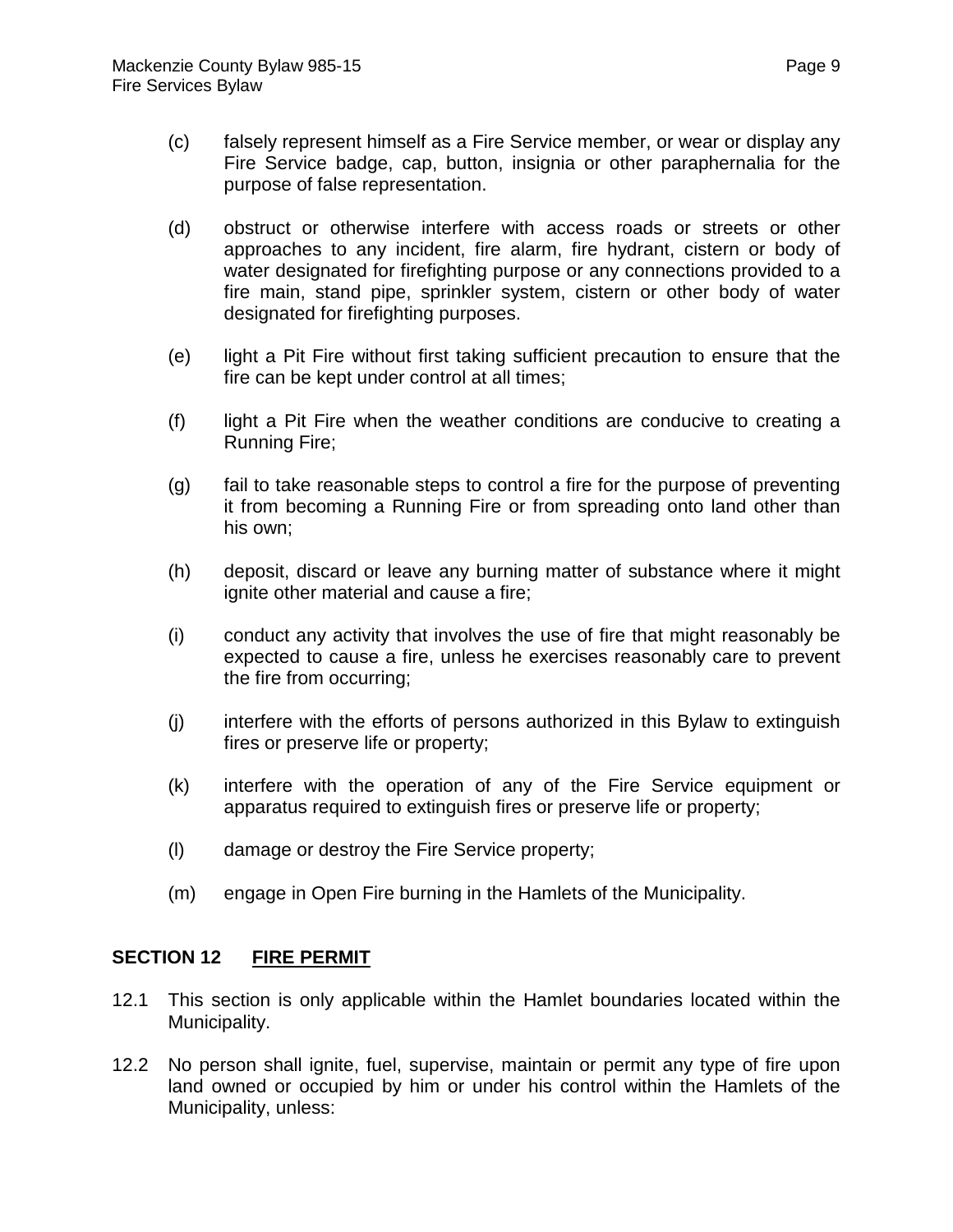- (c) falsely represent himself as a Fire Service member, or wear or display any Fire Service badge, cap, button, insignia or other paraphernalia for the purpose of false representation.
- (d) obstruct or otherwise interfere with access roads or streets or other approaches to any incident, fire alarm, fire hydrant, cistern or body of water designated for firefighting purpose or any connections provided to a fire main, stand pipe, sprinkler system, cistern or other body of water designated for firefighting purposes.
- (e) light a Pit Fire without first taking sufficient precaution to ensure that the fire can be kept under control at all times;
- (f) light a Pit Fire when the weather conditions are conducive to creating a Running Fire;
- (g) fail to take reasonable steps to control a fire for the purpose of preventing it from becoming a Running Fire or from spreading onto land other than his own;
- (h) deposit, discard or leave any burning matter of substance where it might ignite other material and cause a fire;
- (i) conduct any activity that involves the use of fire that might reasonably be expected to cause a fire, unless he exercises reasonably care to prevent the fire from occurring;
- (j) interfere with the efforts of persons authorized in this Bylaw to extinguish fires or preserve life or property;
- (k) interfere with the operation of any of the Fire Service equipment or apparatus required to extinguish fires or preserve life or property;
- (l) damage or destroy the Fire Service property;
- (m) engage in Open Fire burning in the Hamlets of the Municipality.

# **SECTION 12 FIRE PERMIT**

- 12.1 This section is only applicable within the Hamlet boundaries located within the Municipality.
- 12.2 No person shall ignite, fuel, supervise, maintain or permit any type of fire upon land owned or occupied by him or under his control within the Hamlets of the Municipality, unless: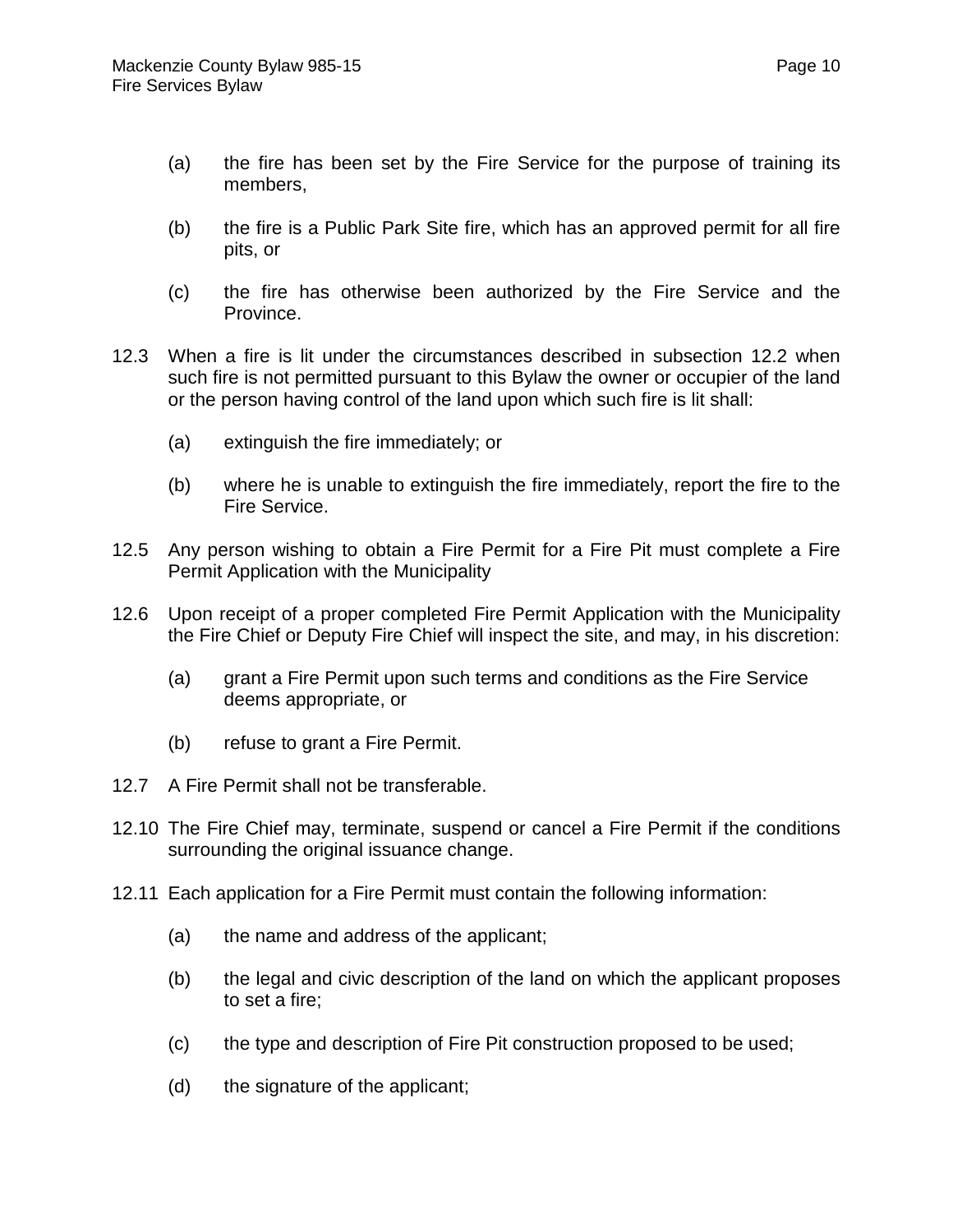- (a) the fire has been set by the Fire Service for the purpose of training its members,
- (b) the fire is a Public Park Site fire, which has an approved permit for all fire pits, or
- (c) the fire has otherwise been authorized by the Fire Service and the Province.
- 12.3 When a fire is lit under the circumstances described in subsection 12.2 when such fire is not permitted pursuant to this Bylaw the owner or occupier of the land or the person having control of the land upon which such fire is lit shall:
	- (a) extinguish the fire immediately; or
	- (b) where he is unable to extinguish the fire immediately, report the fire to the Fire Service.
- 12.5 Any person wishing to obtain a Fire Permit for a Fire Pit must complete a Fire Permit Application with the Municipality
- 12.6 Upon receipt of a proper completed Fire Permit Application with the Municipality the Fire Chief or Deputy Fire Chief will inspect the site, and may, in his discretion:
	- (a) grant a Fire Permit upon such terms and conditions as the Fire Service deems appropriate, or
	- (b) refuse to grant a Fire Permit.
- 12.7 A Fire Permit shall not be transferable.
- 12.10 The Fire Chief may, terminate, suspend or cancel a Fire Permit if the conditions surrounding the original issuance change.
- 12.11 Each application for a Fire Permit must contain the following information:
	- (a) the name and address of the applicant;
	- (b) the legal and civic description of the land on which the applicant proposes to set a fire;
	- (c) the type and description of Fire Pit construction proposed to be used;
	- (d) the signature of the applicant;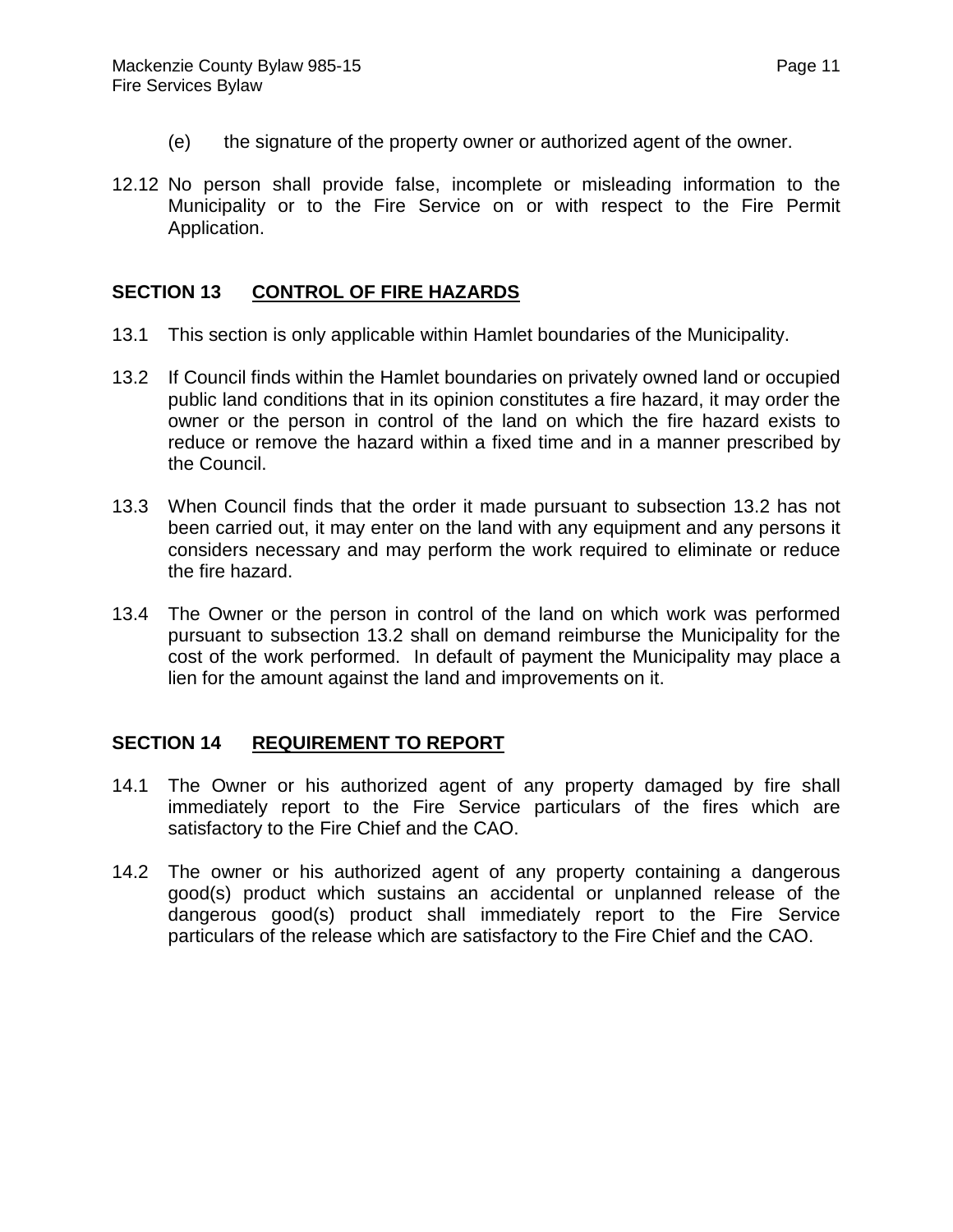- (e) the signature of the property owner or authorized agent of the owner.
- 12.12 No person shall provide false, incomplete or misleading information to the Municipality or to the Fire Service on or with respect to the Fire Permit Application.

# **SECTION 13 CONTROL OF FIRE HAZARDS**

- 13.1 This section is only applicable within Hamlet boundaries of the Municipality.
- 13.2 If Council finds within the Hamlet boundaries on privately owned land or occupied public land conditions that in its opinion constitutes a fire hazard, it may order the owner or the person in control of the land on which the fire hazard exists to reduce or remove the hazard within a fixed time and in a manner prescribed by the Council.
- 13.3 When Council finds that the order it made pursuant to subsection 13.2 has not been carried out, it may enter on the land with any equipment and any persons it considers necessary and may perform the work required to eliminate or reduce the fire hazard.
- 13.4 The Owner or the person in control of the land on which work was performed pursuant to subsection 13.2 shall on demand reimburse the Municipality for the cost of the work performed. In default of payment the Municipality may place a lien for the amount against the land and improvements on it.

## **SECTION 14 REQUIREMENT TO REPORT**

- 14.1 The Owner or his authorized agent of any property damaged by fire shall immediately report to the Fire Service particulars of the fires which are satisfactory to the Fire Chief and the CAO.
- 14.2 The owner or his authorized agent of any property containing a dangerous good(s) product which sustains an accidental or unplanned release of the dangerous good(s) product shall immediately report to the Fire Service particulars of the release which are satisfactory to the Fire Chief and the CAO.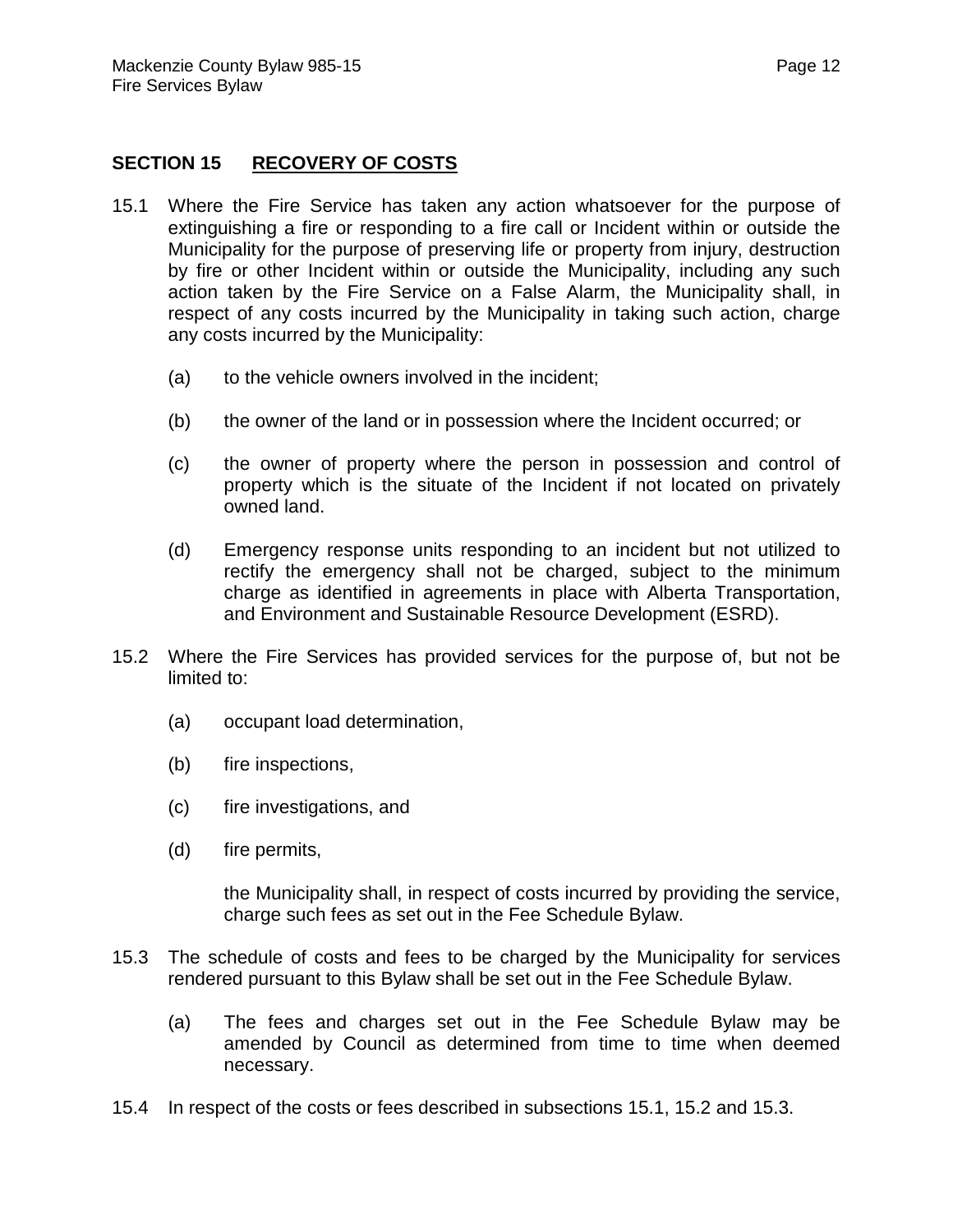# **SECTION 15 RECOVERY OF COSTS**

- 15.1 Where the Fire Service has taken any action whatsoever for the purpose of extinguishing a fire or responding to a fire call or Incident within or outside the Municipality for the purpose of preserving life or property from injury, destruction by fire or other Incident within or outside the Municipality, including any such action taken by the Fire Service on a False Alarm, the Municipality shall, in respect of any costs incurred by the Municipality in taking such action, charge any costs incurred by the Municipality:
	- (a) to the vehicle owners involved in the incident;
	- (b) the owner of the land or in possession where the Incident occurred; or
	- (c) the owner of property where the person in possession and control of property which is the situate of the Incident if not located on privately owned land.
	- (d) Emergency response units responding to an incident but not utilized to rectify the emergency shall not be charged, subject to the minimum charge as identified in agreements in place with Alberta Transportation, and Environment and Sustainable Resource Development (ESRD).
- 15.2 Where the Fire Services has provided services for the purpose of, but not be limited to:
	- (a) occupant load determination,
	- (b) fire inspections,
	- (c) fire investigations, and
	- (d) fire permits,

the Municipality shall, in respect of costs incurred by providing the service, charge such fees as set out in the Fee Schedule Bylaw.

- 15.3 The schedule of costs and fees to be charged by the Municipality for services rendered pursuant to this Bylaw shall be set out in the Fee Schedule Bylaw.
	- (a) The fees and charges set out in the Fee Schedule Bylaw may be amended by Council as determined from time to time when deemed necessary.
- 15.4 In respect of the costs or fees described in subsections 15.1, 15.2 and 15.3.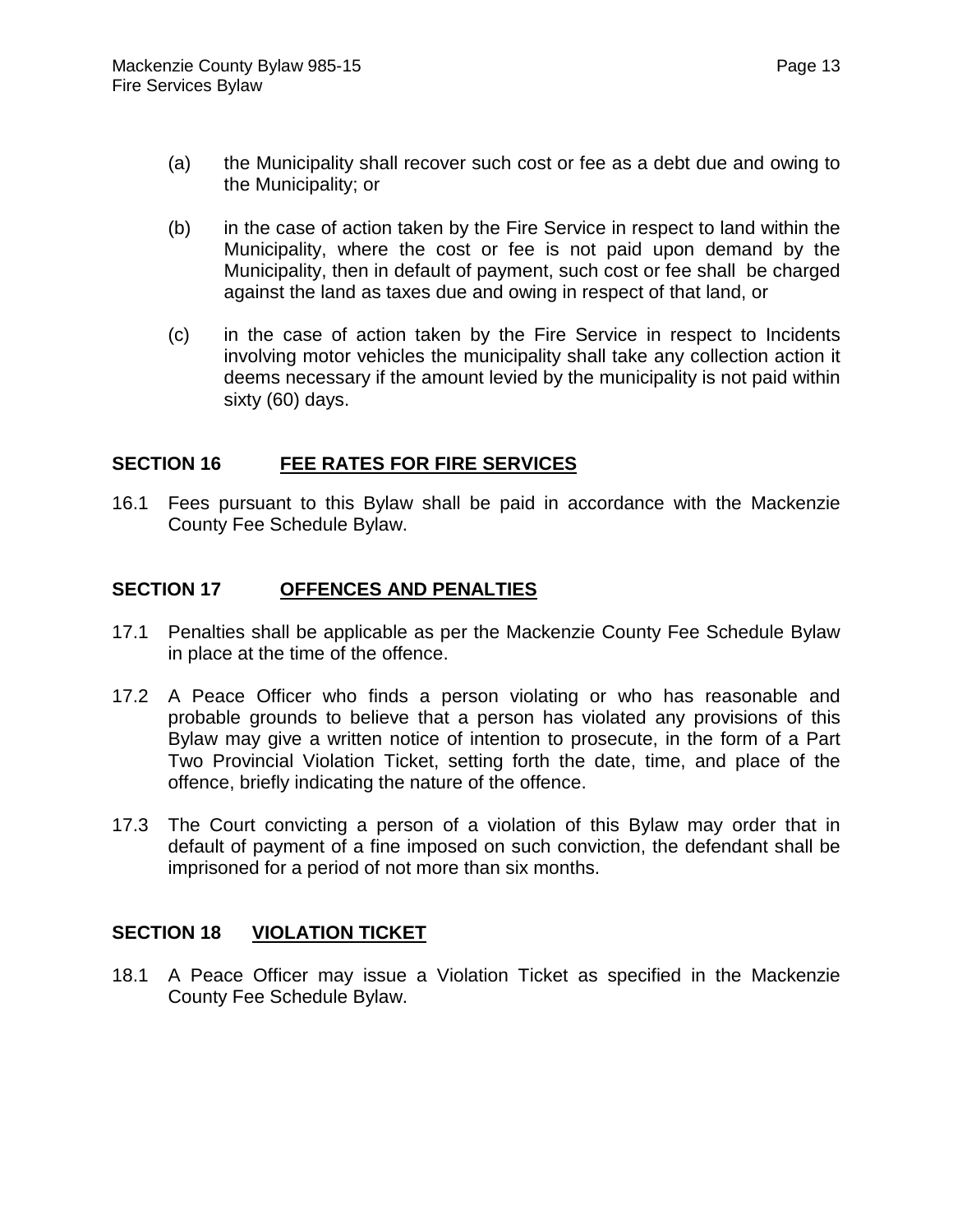- (a) the Municipality shall recover such cost or fee as a debt due and owing to the Municipality; or
- (b) in the case of action taken by the Fire Service in respect to land within the Municipality, where the cost or fee is not paid upon demand by the Municipality, then in default of payment, such cost or fee shall be charged against the land as taxes due and owing in respect of that land, or
- (c) in the case of action taken by the Fire Service in respect to Incidents involving motor vehicles the municipality shall take any collection action it deems necessary if the amount levied by the municipality is not paid within sixty (60) days.

#### **SECTION 16 FEE RATES FOR FIRE SERVICES**

16.1 Fees pursuant to this Bylaw shall be paid in accordance with the Mackenzie County Fee Schedule Bylaw.

## **SECTION 17 OFFENCES AND PENALTIES**

- 17.1 Penalties shall be applicable as per the Mackenzie County Fee Schedule Bylaw in place at the time of the offence.
- 17.2 A Peace Officer who finds a person violating or who has reasonable and probable grounds to believe that a person has violated any provisions of this Bylaw may give a written notice of intention to prosecute, in the form of a Part Two Provincial Violation Ticket, setting forth the date, time, and place of the offence, briefly indicating the nature of the offence.
- 17.3 The Court convicting a person of a violation of this Bylaw may order that in default of payment of a fine imposed on such conviction, the defendant shall be imprisoned for a period of not more than six months.

## **SECTION 18 VIOLATION TICKET**

18.1 A Peace Officer may issue a Violation Ticket as specified in the Mackenzie County Fee Schedule Bylaw.